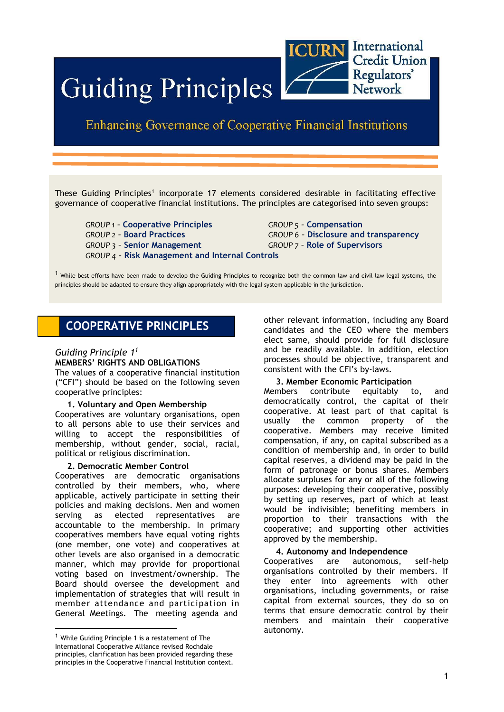

# **Guiding Principles**

# **Enhancing Governance of Cooperative Financial Institutions**

These Guiding Principles<sup>1</sup> incorporate 17 elements considered desirable in facilitating effective governance of cooperative financial institutions. The principles are categorised into seven groups:

*GROUP 1 –* **Cooperative Principles** *GROUP 5 –* **Compensation** *GROUP 2 –* **Board Practices** *GROUP 6 –* **Disclosure and transparency** *GROUP 3 –* **Senior Management** *GROUP 7 –* **Role of Supervisors** *GROUP 4 –* **Risk Management and Internal Controls**

 $<sup>1</sup>$  While best efforts have been made to develop the Guiding Principles to recognize both the common law and civil law legal systems, the</sup> principles should be adapted to ensure they align appropriately with the legal system applicable in the jurisdiction.

# **COOPERATIVE PRINCIPLES**

# *Guiding Principle 1<sup>1</sup>*

#### **MEMBERS' RIGHTS AND OBLIGATIONS**

The values of a cooperative financial institution ("CFI") should be based on the following seven cooperative principles:

#### **1. Voluntary and Open Membership**

Cooperatives are voluntary organisations, open to all persons able to use their services and willing to accept the responsibilities of membership, without gender, social, racial, political or religious discrimination.

### **2. Democratic Member Control**

Cooperatives are democratic organisations controlled by their members, who, where applicable, actively participate in setting their policies and making decisions. Men and women serving as elected representatives are accountable to the membership. In primary cooperatives members have equal voting rights (one member, one vote) and cooperatives at other levels are also organised in a democratic manner, which may provide for proportional voting based on investment/ownership. The Board should oversee the development and implementation of strategies that will result in member attendance and participation in General Meetings. The meeting agenda and

other relevant information, including any Board candidates and the CEO where the members elect same, should provide for full disclosure and be readily available. In addition, election processes should be objective, transparent and consistent with the CFI's by-laws.

### **3. Member Economic Participation**

Members contribute equitably to, and democratically control, the capital of their cooperative. At least part of that capital is usually the common property of the cooperative. Members may receive limited compensation, if any, on capital subscribed as a condition of membership and, in order to build capital reserves, a dividend may be paid in the form of patronage or bonus shares. Members allocate surpluses for any or all of the following purposes: developing their cooperative, possibly by setting up reserves, part of which at least would be indivisible; benefiting members in proportion to their transactions with the cooperative; and supporting other activities approved by the membership.

#### **4. Autonomy and Independence**

Cooperatives are autonomous, self-help organisations controlled by their members. If they enter into agreements with other organisations, including governments, or raise capital from external sources, they do so on terms that ensure democratic control by their members and maintain their cooperative autonomy.

 $1$  While Guiding Principle 1 is a restatement of The International Cooperative Alliance revised Rochdale principles, clarification has been provided regarding these principles in the Cooperative Financial Institution context.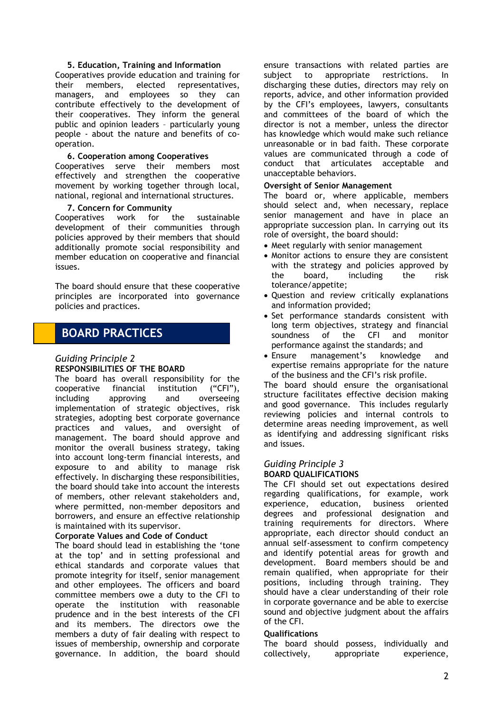#### **5. Education, Training and Information**

Cooperatives provide education and training for their members, elected representatives, managers, and employees so they can contribute effectively to the development of their cooperatives. They inform the general public and opinion leaders – particularly young people - about the nature and benefits of cooperation.

#### **6. Cooperation among Cooperatives**

Cooperatives serve their members most effectively and strengthen the cooperative movement by working together through local, national, regional and international structures.

#### **7. Concern for Community**

Cooperatives work for the sustainable development of their communities through policies approved by their members that should additionally promote social responsibility and member education on cooperative and financial issues.

The board should ensure that these cooperative principles are incorporated into governance policies and practices.

# **BOARD PRACTICES**

# *Guiding Principle 2*

#### **RESPONSIBILITIES OF THE BOARD**

The board has overall responsibility for the cooperative financial institution ("CFI"), including approving and overseeing implementation of strategic objectives, risk strategies, adopting best corporate governance practices and values, and oversight of management. The board should approve and monitor the overall business strategy, taking into account long-term financial interests, and exposure to and ability to manage risk effectively. In discharging these responsibilities, the board should take into account the interests of members, other relevant stakeholders and, where permitted, non-member depositors and borrowers, and ensure an effective relationship is maintained with its supervisor.

#### **Corporate Values and Code of Conduct**

The board should lead in establishing the 'tone at the top' and in setting professional and ethical standards and corporate values that promote integrity for itself, senior management and other employees. The officers and board committee members owe a duty to the CFI to operate the institution with reasonable prudence and in the best interests of the CFI and its members. The directors owe the members a duty of fair dealing with respect to issues of membership, ownership and corporate governance. In addition, the board should ensure transactions with related parties are subject to appropriate restrictions. In discharging these duties, directors may rely on reports, advice, and other information provided by the CFI's employees, lawyers, consultants and committees of the board of which the director is not a member, unless the director has knowledge which would make such reliance unreasonable or in bad faith. These corporate values are communicated through a code of conduct that articulates acceptable and unacceptable behaviors.

#### **Oversight of Senior Management**

The board or, where applicable, members should select and, when necessary, replace senior management and have in place an appropriate succession plan. In carrying out its role of oversight, the board should:

- Meet regularly with senior management
- Monitor actions to ensure they are consistent with the strategy and policies approved by the board, including the risk tolerance/appetite;
- Question and review critically explanations and information provided;
- Set performance standards consistent with long term objectives, strategy and financial soundness of the CFI and monitor performance against the standards; and
- Ensure management's knowledge and expertise remains appropriate for the nature of the business and the CFI's risk profile.

The board should ensure the organisational structure facilitates effective decision making and good governance. This includes regularly reviewing policies and internal controls to determine areas needing improvement, as well as identifying and addressing significant risks and issues.

# *Guiding Principle 3*

### **BOARD QUALIFICATIONS**

The CFI should set out expectations desired regarding qualifications, for example, work experience, education, business oriented degrees and professional designation and training requirements for directors. Where appropriate, each director should conduct an annual self-assessment to confirm competency and identify potential areas for growth and development. Board members should be and remain qualified, when appropriate for their positions, including through training. They should have a clear understanding of their role in corporate governance and be able to exercise sound and objective judgment about the affairs of the CFI.

#### **Qualifications**

The board should possess, individually and collectively, appropriate experience,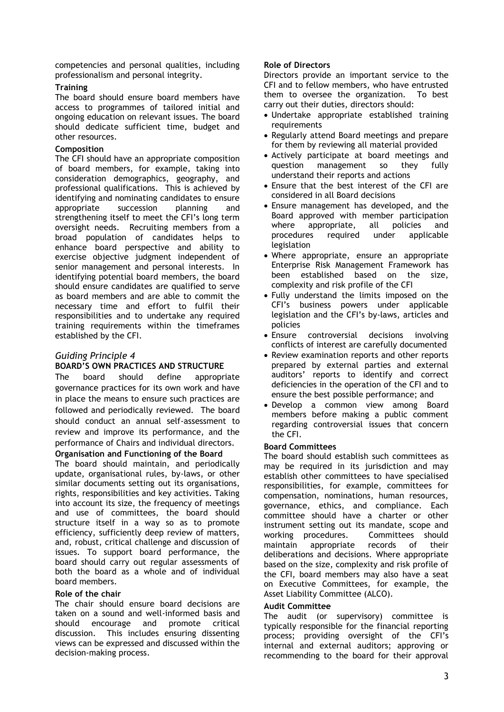competencies and personal qualities, including professionalism and personal integrity.

## **Training**

The board should ensure board members have access to programmes of tailored initial and ongoing education on relevant issues. The board should dedicate sufficient time, budget and other resources.

## **Composition**

The CFI should have an appropriate composition of board members, for example, taking into consideration demographics, geography, and professional qualifications. This is achieved by identifying and nominating candidates to ensure appropriate succession planning and strengthening itself to meet the CFI's long term oversight needs. Recruiting members from a broad population of candidates helps to enhance board perspective and ability to exercise objective judgment independent of senior management and personal interests. In identifying potential board members, the board should ensure candidates are qualified to serve as board members and are able to commit the necessary time and effort to fulfil their responsibilities and to undertake any required training requirements within the timeframes established by the CFI.

# *Guiding Principle 4*

# **BOARD'S OWN PRACTICES AND STRUCTURE**

The board should define appropriate governance practices for its own work and have in place the means to ensure such practices are followed and periodically reviewed. The board should conduct an annual self-assessment to review and improve its performance, and the performance of Chairs and individual directors.

# **Organisation and Functioning of the Board**

The board should maintain, and periodically update, organisational rules, by-laws, or other similar documents setting out its organisations, rights, responsibilities and key activities. Taking into account its size, the frequency of meetings and use of committees, the board should structure itself in a way so as to promote efficiency, sufficiently deep review of matters, and, robust, critical challenge and discussion of issues. To support board performance, the board should carry out regular assessments of both the board as a whole and of individual board members.

### **Role of the chair**

The chair should ensure board decisions are taken on a sound and well-informed basis and should encourage and promote critical discussion. This includes ensuring dissenting views can be expressed and discussed within the decision-making process.

## **Role of Directors**

Directors provide an important service to the CFI and to fellow members, who have entrusted them to oversee the organization. To best carry out their duties, directors should:

- Undertake appropriate established training requirements
- Regularly attend Board meetings and prepare for them by reviewing all material provided
- Actively participate at board meetings and question management so they fully understand their reports and actions
- Ensure that the best interest of the CFI are considered in all Board decisions
- Ensure management has developed, and the Board approved with member participation where appropriate, all policies and procedures required under applicable legislation
- Where appropriate, ensure an appropriate Enterprise Risk Management Framework has been established based on the size, complexity and risk profile of the CFI
- Fully understand the limits imposed on the CFI's business powers under applicable legislation and the CFI's by-laws, articles and policies
- Ensure controversial decisions involving conflicts of interest are carefully documented
- Review examination reports and other reports prepared by external parties and external auditors' reports to identify and correct deficiencies in the operation of the CFI and to ensure the best possible performance; and
- Develop a common view among Board members before making a public comment regarding controversial issues that concern the CFI.

### **Board Committees**

The board should establish such committees as may be required in its jurisdiction and may establish other committees to have specialised responsibilities, for example, committees for compensation, nominations, human resources, governance, ethics, and compliance. Each committee should have a charter or other instrument setting out its mandate, scope and working procedures. Committees should maintain appropriate records of their deliberations and decisions. Where appropriate based on the size, complexity and risk profile of the CFI, board members may also have a seat on Executive Committees, for example, the Asset Liability Committee (ALCO).

### **Audit Committee**

The audit (or supervisory) committee is typically responsible for the financial reporting process; providing oversight of the CFI's internal and external auditors; approving or recommending to the board for their approval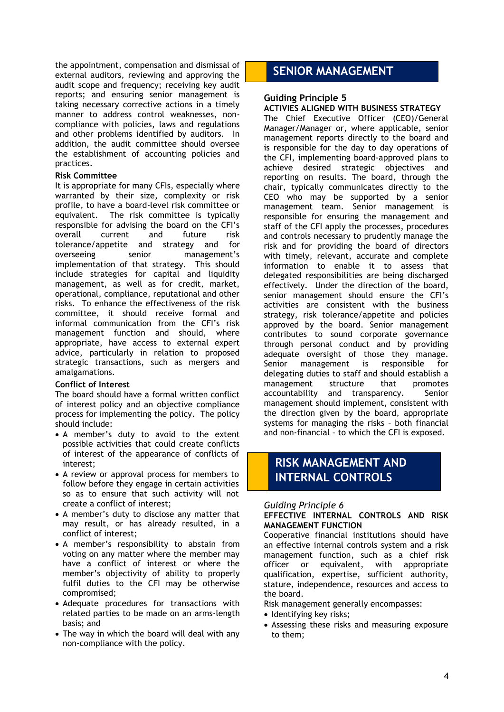the appointment, compensation and dismissal of external auditors, reviewing and approving the audit scope and frequency; receiving key audit reports; and ensuring senior management is taking necessary corrective actions in a timely manner to address control weaknesses, noncompliance with policies, laws and regulations and other problems identified by auditors. In addition, the audit committee should oversee the establishment of accounting policies and practices.

#### **Risk Committee**

It is appropriate for many CFIs, especially where warranted by their size, complexity or risk profile, to have a board-level risk committee or equivalent. The risk committee is typically responsible for advising the board on the CFI's overall current and future risk tolerance/appetite and strategy and for overseeing senior management's implementation of that strategy. This should include strategies for capital and liquidity management, as well as for credit, market, operational, compliance, reputational and other risks. To enhance the effectiveness of the risk committee, it should receive formal and informal communication from the CFI's risk management function and should, where appropriate, have access to external expert advice, particularly in relation to proposed strategic transactions, such as mergers and amalgamations.

#### **Conflict of Interest**

The board should have a formal written conflict of interest policy and an objective compliance process for implementing the policy. The policy should include:

- A member's duty to avoid to the extent possible activities that could create conflicts of interest of the appearance of conflicts of interest;
- A review or approval process for members to follow before they engage in certain activities so as to ensure that such activity will not create a conflict of interest;
- A member's duty to disclose any matter that may result, or has already resulted, in a conflict of interest;
- A member's responsibility to abstain from voting on any matter where the member may have a conflict of interest or where the member's objectivity of ability to properly fulfil duties to the CFI may be otherwise compromised;
- Adequate procedures for transactions with related parties to be made on an arms-length basis; and
- The way in which the board will deal with any non-compliance with the policy.

# **SENIOR MANAGEMENT**

## **Guiding Principle 5**

#### **ACTIVIES ALIGNED WITH BUSINESS STRATEGY**

The Chief Executive Officer (CEO)/General Manager/Manager or, where applicable, senior management reports directly to the board and is responsible for the day to day operations of the CFI, implementing board-approved plans to achieve desired strategic objectives and reporting on results. The board, through the chair, typically communicates directly to the CEO who may be supported by a senior management team. Senior management is responsible for ensuring the management and staff of the CFI apply the processes, procedures and controls necessary to prudently manage the risk and for providing the board of directors with timely, relevant, accurate and complete information to enable it to assess that delegated responsibilities are being discharged effectively. Under the direction of the board, senior management should ensure the CFI's activities are consistent with the business strategy, risk tolerance/appetite and policies approved by the board. Senior management contributes to sound corporate governance through personal conduct and by providing adequate oversight of those they manage. Senior management is responsible for delegating duties to staff and should establish a management structure that promotes accountability and transparency. Senior management should implement, consistent with the direction given by the board, appropriate systems for managing the risks – both financial and non-financial – to which the CFI is exposed.

# **RISK MANAGEMENT AND INTERNAL CONTROLS**

### *Guiding Principle 6*

#### **EFFECTIVE INTERNAL CONTROLS AND RISK MANAGEMENT FUNCTION**

Cooperative financial institutions should have an effective internal controls system and a risk management function, such as a chief risk officer or equivalent, with appropriate qualification, expertise, sufficient authority, stature, independence, resources and access to the board.

Risk management generally encompasses:

- Identifying key risks;
- Assessing these risks and measuring exposure to them;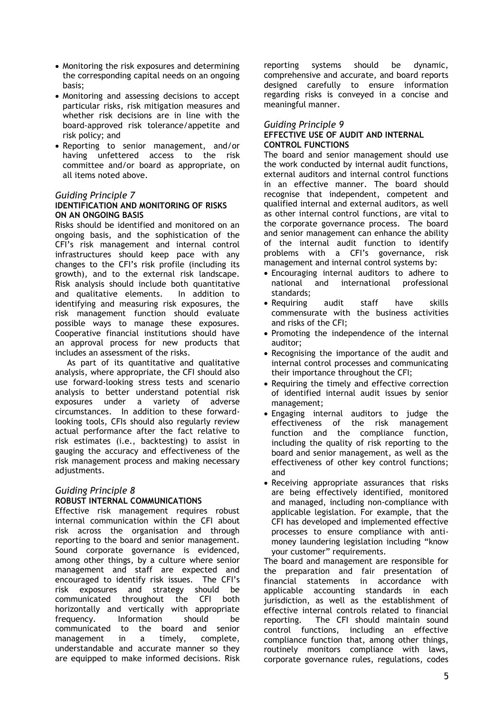- Monitoring the risk exposures and determining the corresponding capital needs on an ongoing basis;
- Monitoring and assessing decisions to accept particular risks, risk mitigation measures and whether risk decisions are in line with the board-approved risk tolerance/appetite and risk policy; and
- Reporting to senior management, and/or having unfettered access to the risk committee and/or board as appropriate, on all items noted above.

## *Guiding Principle 7*

#### **IDENTIFICATION AND MONITORING OF RISKS ON AN ONGOING BASIS**

Risks should be identified and monitored on an ongoing basis, and the sophistication of the CFI's risk management and internal control infrastructures should keep pace with any changes to the CFI's risk profile (including its growth), and to the external risk landscape. Risk analysis should include both quantitative and qualitative elements. In addition to identifying and measuring risk exposures, the risk management function should evaluate possible ways to manage these exposures. Cooperative financial institutions should have an approval process for new products that includes an assessment of the risks.

As part of its quantitative and qualitative analysis, where appropriate, the CFI should also use forward-looking stress tests and scenario analysis to better understand potential risk exposures under a variety of adverse circumstances. In addition to these forwardlooking tools, CFIs should also regularly review actual performance after the fact relative to risk estimates (i.e., backtesting) to assist in gauging the accuracy and effectiveness of the risk management process and making necessary adjustments.

# *Guiding Principle 8*

# **ROBUST INTERNAL COMMUNICATIONS**

Effective risk management requires robust internal communication within the CFI about risk across the organisation and through reporting to the board and senior management. Sound corporate governance is evidenced, among other things, by a culture where senior management and staff are expected and encouraged to identify risk issues. The CFI's risk exposures and strategy should be communicated throughout the CFI both horizontally and vertically with appropriate frequency. Information should be communicated to the board and senior management in a timely, complete, understandable and accurate manner so they are equipped to make informed decisions. Risk reporting systems should be dynamic, comprehensive and accurate, and board reports designed carefully to ensure information regarding risks is conveyed in a concise and meaningful manner.

## *Guiding Principle 9*

## **EFFECTIVE USE OF AUDIT AND INTERNAL CONTROL FUNCTIONS**

The board and senior management should use the work conducted by internal audit functions, external auditors and internal control functions in an effective manner. The board should recognise that independent, competent and qualified internal and external auditors, as well as other internal control functions, are vital to the corporate governance process. The board and senior management can enhance the ability of the internal audit function to identify problems with a CFI's governance, risk management and internal control systems by:

- Encouraging internal auditors to adhere to national and international professional standards;
- Requiring audit staff have skills commensurate with the business activities and risks of the CFI;
- Promoting the independence of the internal auditor;
- Recognising the importance of the audit and internal control processes and communicating their importance throughout the CFI;
- Requiring the timely and effective correction of identified internal audit issues by senior management;
- Engaging internal auditors to judge the effectiveness of the risk management function and the compliance function, including the quality of risk reporting to the board and senior management, as well as the effectiveness of other key control functions; and
- Receiving appropriate assurances that risks are being effectively identified, monitored and managed, including non-compliance with applicable legislation. For example, that the CFI has developed and implemented effective processes to ensure compliance with antimoney laundering legislation including "know your customer" requirements.

The board and management are responsible for the preparation and fair presentation of financial statements in accordance with applicable accounting standards in each jurisdiction, as well as the establishment of effective internal controls related to financial reporting. The CFI should maintain sound control functions, including an effective compliance function that, among other things, routinely monitors compliance with laws, corporate governance rules, regulations, codes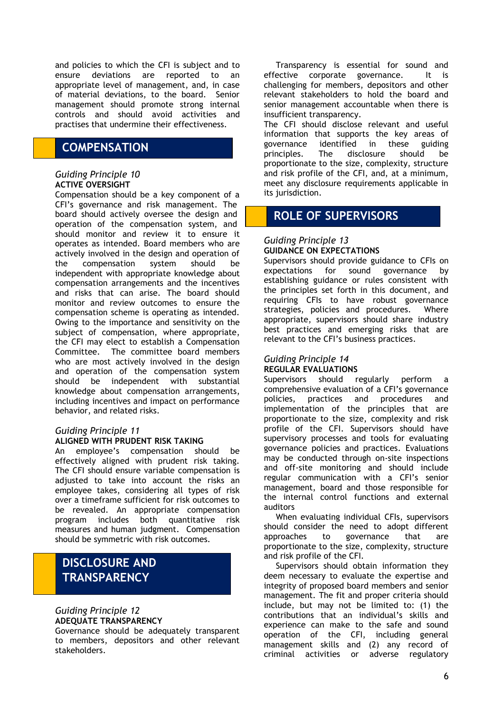and policies to which the CFI is subject and to ensure deviations are reported to an appropriate level of management, and, in case of material deviations, to the board. Senior management should promote strong internal controls and should avoid activities and practises that undermine their effectiveness.

# **COMPENSATION**

### *Guiding Principle 10* **ACTIVE OVERSIGHT**

Compensation should be a key component of a CFI's governance and risk management. The board should actively oversee the design and operation of the compensation system, and should monitor and review it to ensure it operates as intended. Board members who are actively involved in the design and operation of the compensation system should be independent with appropriate knowledge about compensation arrangements and the incentives and risks that can arise. The board should monitor and review outcomes to ensure the compensation scheme is operating as intended. Owing to the importance and sensitivity on the subject of compensation, where appropriate, the CFI may elect to establish a Compensation Committee. The committee board members who are most actively involved in the design and operation of the compensation system should be independent with substantial knowledge about compensation arrangements, including incentives and impact on performance behavior, and related risks.

#### *Guiding Principle 11* **ALIGNED WITH PRUDENT RISK TAKING**

An employee's compensation should be effectively aligned with prudent risk taking. The CFI should ensure variable compensation is adjusted to take into account the risks an employee takes, considering all types of risk over a timeframe sufficient for risk outcomes to be revealed. An appropriate compensation program includes both quantitative risk measures and human judgment. Compensation should be symmetric with risk outcomes.

# **DISCLOSURE AND TRANSPARENCY**

## *Guiding Principle 12* **ADEQUATE TRANSPARENCY**

Governance should be adequately transparent to members, depositors and other relevant stakeholders.

Transparency is essential for sound and effective corporate governance. It is challenging for members, depositors and other relevant stakeholders to hold the board and senior management accountable when there is insufficient transparency.

The CFI should disclose relevant and useful information that supports the key areas of governance identified in these guiding principles. The disclosure should be proportionate to the size, complexity, structure and risk profile of the CFI, and, at a minimum, meet any disclosure requirements applicable in its jurisdiction.

# **ROLE OF SUPERVISORS**

## *Guiding Principle 13* **GUIDANCE ON EXPECTATIONS**

Supervisors should provide guidance to CFIs on expectations for sound governance by establishing guidance or rules consistent with the principles set forth in this document, and requiring CFIs to have robust governance strategies, policies and procedures. Where appropriate, supervisors should share industry best practices and emerging risks that are relevant to the CFI's business practices.

## *Guiding Principle 14* **REGULAR EVALUATIONS**

Supervisors should regularly perform a comprehensive evaluation of a CFI's governance policies, practices and procedures and implementation of the principles that are proportionate to the size, complexity and risk profile of the CFI. Supervisors should have supervisory processes and tools for evaluating governance policies and practices. Evaluations may be conducted through on-site inspections and off-site monitoring and should include regular communication with a CFI's senior management, board and those responsible for the internal control functions and external auditors

When evaluating individual CFIs, supervisors should consider the need to adopt different approaches to governance that are proportionate to the size, complexity, structure and risk profile of the CFI.

Supervisors should obtain information they deem necessary to evaluate the expertise and integrity of proposed board members and senior management. The fit and proper criteria should include, but may not be limited to: (1) the contributions that an individual's skills and experience can make to the safe and sound operation of the CFI, including general management skills and (2) any record of criminal activities or adverse regulatory